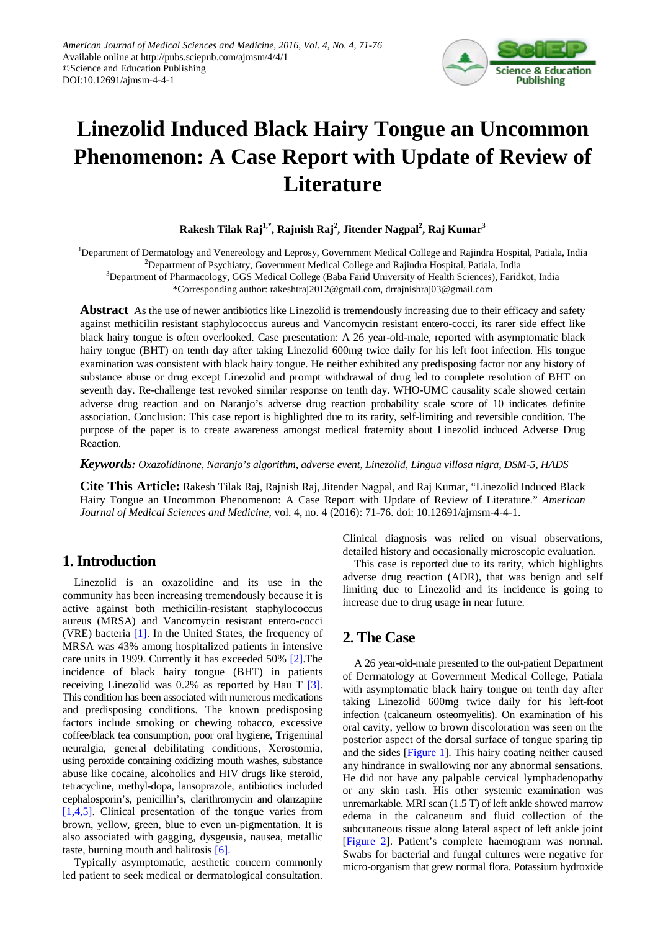

# **Linezolid Induced Black Hairy Tongue an Uncommon Phenomenon: A Case Report with Update of Review of Literature**

**Rakesh Tilak Raj1,\*, Rajnish Raj<sup>2</sup> , Jitender Nagpal2 , Raj Kumar<sup>3</sup>**

<sup>1</sup>Department of Dermatology and Venereology and Leprosy, Government Medical College and Rajindra Hospital, Patiala, India <sup>2</sup>Department of Psychiatry, Government Medical College and Rajindra Hospital, Patiala, India

3 Department of Pharmacology, GGS Medical College (Baba Farid University of Health Sciences), Faridkot, India

\*Corresponding author: rakeshtraj2012@gmail.com, drrajnishraj03@gmail.com

**Abstract** As the use of newer antibiotics like Linezolid is tremendously increasing due to their efficacy and safety against methicilin resistant staphylococcus aureus and Vancomycin resistant entero-cocci, its rarer side effect like black hairy tongue is often overlooked. Case presentation: A 26 year-old-male, reported with asymptomatic black hairy tongue (BHT) on tenth day after taking Linezolid 600mg twice daily for his left foot infection. His tongue examination was consistent with black hairy tongue. He neither exhibited any predisposing factor nor any history of substance abuse or drug except Linezolid and prompt withdrawal of drug led to complete resolution of BHT on seventh day. Re-challenge test revoked similar response on tenth day. WHO-UMC causality scale showed certain adverse drug reaction and on Naranjo's adverse drug reaction probability scale score of 10 indicates definite association. Conclusion: This case report is highlighted due to its rarity, self-limiting and reversible condition. The purpose of the paper is to create awareness amongst medical fraternity about Linezolid induced Adverse Drug Reaction.

*Keywords: Oxazolidinone, Naranjo's algorithm, adverse event, Linezolid, Lingua villosa nigra, DSM-5, HADS*

**Cite This Article:** Rakesh Tilak Raj, Rajnish Raj, Jitender Nagpal, and Raj Kumar, "Linezolid Induced Black Hairy Tongue an Uncommon Phenomenon: A Case Report with Update of Review of Literature." *American Journal of Medical Sciences and Medicine*, vol. 4, no. 4 (2016): 71-76. doi: 10.12691/ajmsm-4-4-1.

## **1. Introduction**

Linezolid is an oxazolidine and its use in the community has been increasing tremendously because it is active against both methicilin-resistant staphylococcus aureus (MRSA) and Vancomycin resistant entero-cocci (VRE) bacteria [\[1\].](#page-4-0) In the United States, the frequency of MRSA was 43% among hospitalized patients in intensive care units in 1999. Currently it has exceeded 50% [\[2\].](#page-4-1)The incidence of black hairy tongue (BHT) in patients receiving Linezolid was 0.2% as reported by Hau T [\[3\].](#page-4-2) This condition has been associated with numerous medications and predisposing conditions. The known predisposing factors include smoking or chewing tobacco, excessive coffee/black tea consumption, poor oral hygiene, Trigeminal neuralgia, general debilitating conditions, Xerostomia, using peroxide containing oxidizing mouth washes, substance abuse like cocaine, alcoholics and HIV drugs like steroid, tetracycline, methyl-dopa, lansoprazole, antibiotics included cephalosporin's, penicillin's, clarithromycin and olanzapine [\[1,4,5\].](#page-4-0) Clinical presentation of the tongue varies from brown, yellow, green, blue to even un-pigmentation. It is also associated with gagging, dysgeusia, nausea, metallic taste, burning mouth and halitosis [\[6\].](#page-4-3)

Typically asymptomatic, aesthetic concern commonly led patient to seek medical or dermatological consultation. Clinical diagnosis was relied on visual observations, detailed history and occasionally microscopic evaluation.

This case is reported due to its rarity, which highlights adverse drug reaction (ADR), that was benign and self limiting due to Linezolid and its incidence is going to increase due to drug usage in near future.

## **2. The Case**

A 26 year-old-male presented to the out-patient Department of Dermatology at Government Medical College, Patiala with asymptomatic black hairy tongue on tenth day after taking Linezolid 600mg twice daily for his left-foot infection (calcaneum osteomyelitis). On examination of his oral cavity, yellow to brown discoloration was seen on the posterior aspect of the dorsal surface of tongue sparing tip and the sides [\[Figure 1\]](#page-1-0). This hairy coating neither caused any hindrance in swallowing nor any abnormal sensations. He did not have any palpable cervical lymphadenopathy or any skin rash. His other systemic examination was unremarkable. MRI scan (1.5 T) of left ankle showed marrow edema in the calcaneum and fluid collection of the subcutaneous tissue along lateral aspect of left ankle joint [\[Figure 2\]](#page-1-1). Patient's complete haemogram was normal. Swabs for bacterial and fungal cultures were negative for micro-organism that grew normal flora. Potassium hydroxide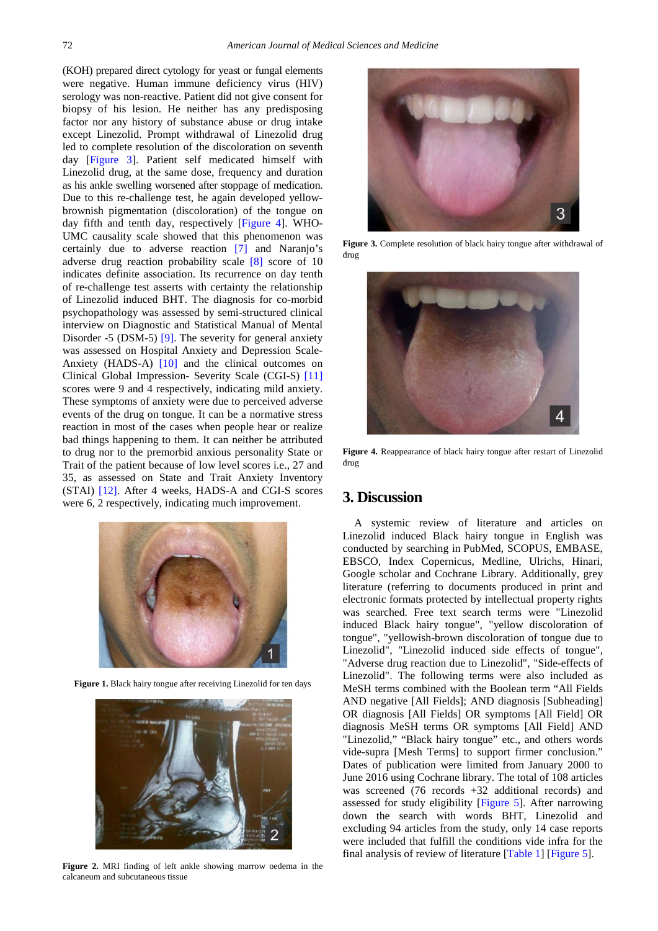(KOH) prepared direct cytology for yeast or fungal elements were negative. Human immune deficiency virus (HIV) serology was non-reactive. Patient did not give consent for biopsy of his lesion. He neither has any predisposing factor nor any history of substance abuse or drug intake except Linezolid. Prompt withdrawal of Linezolid drug led to complete resolution of the discoloration on seventh day [\[Figure 3\]](#page-1-2). Patient self medicated himself with Linezolid drug, at the same dose, frequency and duration as his ankle swelling worsened after stoppage of medication. Due to this re-challenge test, he again developed yellowbrownish pigmentation (discoloration) of the tongue on day fifth and tenth day, respectively [\[Figure 4\]](#page-1-3). WHO-UMC causality scale showed that this phenomenon was certainly due to adverse reaction [\[7\]](#page-4-4) and Naranjo's adverse drug reaction probability scale [\[8\]](#page-4-5) score of 10 indicates definite association. Its recurrence on day tenth of re-challenge test asserts with certainty the relationship of Linezolid induced BHT. The diagnosis for co-morbid psychopathology was assessed by semi-structured clinical interview on Diagnostic and Statistical Manual of Mental Disorder -5 (DSM-5) [\[9\].](#page-4-6) The severity for general anxiety was assessed on Hospital Anxiety and Depression Scale-Anxiety (HADS-A) [\[10\]](#page-5-0) and the clinical outcomes on Clinical Global Impression- Severity Scale (CGI-S) [\[11\]](#page-5-1) scores were 9 and 4 respectively, indicating mild anxiety. These symptoms of anxiety were due to perceived adverse events of the drug on tongue. It can be a normative stress reaction in most of the cases when people hear or realize bad things happening to them. It can neither be attributed to drug nor to the premorbid anxious personality State or Trait of the patient because of low level scores i.e., 27 and 35, as assessed on State and Trait Anxiety Inventory (STAI) [\[12\].](#page-5-2) After 4 weeks, HADS-A and CGI-S scores were 6, 2 respectively, indicating much improvement.

<span id="page-1-0"></span>

**Figure 1.** Black hairy tongue after receiving Linezolid for ten days

<span id="page-1-1"></span>

**Figure 2.** MRI finding of left ankle showing marrow oedema in the calcaneum and subcutaneous tissue

<span id="page-1-2"></span>

**Figure 3.** Complete resolution of black hairy tongue after withdrawal of drug

<span id="page-1-3"></span>

**Figure 4.** Reappearance of black hairy tongue after restart of Linezolid drug

## **3. Discussion**

A systemic review of literature and articles on Linezolid induced Black hairy tongue in English was conducted by searching in PubMed, SCOPUS, EMBASE, EBSCO, Index Copernicus, Medline, Ulrichs, Hinari, Google scholar and Cochrane Library. Additionally, grey literature (referring to documents produced in print and electronic formats protected by intellectual property rights was searched. Free text search terms were "Linezolid induced Black hairy tongue", "yellow discoloration of tongue", "yellowish-brown discoloration of tongue due to Linezolid", "Linezolid induced side effects of tongue", "Adverse drug reaction due to Linezolid", "Side-effects of Linezolid". The following terms were also included as MeSH terms combined with the Boolean term "All Fields AND negative [All Fields]; AND diagnosis [Subheading] OR diagnosis [All Fields] OR symptoms [All Field] OR diagnosis MeSH terms OR symptoms [All Field] AND "Linezolid," "Black hairy tongue" etc., and others words vide-supra [Mesh Terms] to support firmer conclusion." Dates of publication were limited from January 2000 to June 2016 using Cochrane library. The total of 108 articles was screened (76 records +32 additional records) and assessed for study eligibility [\[Figure 5\]](#page-3-0). After narrowing down the search with words BHT, Linezolid and excluding 94 articles from the study, only 14 case reports were included that fulfill the conditions vide infra for the final analysis of review of literature [\[Table 1\]](#page-2-0) [\[Figure 5\]](#page-3-0).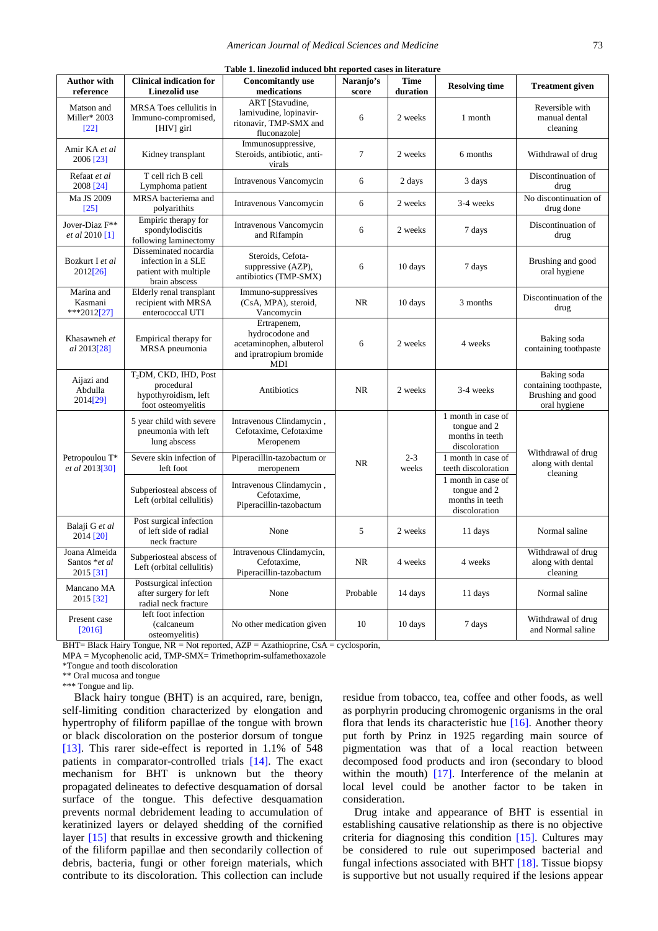<span id="page-2-0"></span>

| Table 1. linezolid induced bht reported cases in literature |                                                                                               |                                                                                                    |            |                     |                                                                        |                                                                            |  |  |
|-------------------------------------------------------------|-----------------------------------------------------------------------------------------------|----------------------------------------------------------------------------------------------------|------------|---------------------|------------------------------------------------------------------------|----------------------------------------------------------------------------|--|--|
| <b>Author with</b>                                          | <b>Clinical indication for</b>                                                                | <b>Concomitantly use</b>                                                                           | Naranjo's  | Time                | <b>Resolving time</b>                                                  | <b>Treatment given</b>                                                     |  |  |
| reference<br>Matson and<br>Miller* 2003<br>$[22]$           | <b>Linezolid</b> use<br>MRSA Toes cellulitis in<br>Immuno-compromised,<br>[HIV] girl          | medications<br>ART [Stavudine,<br>lamivudine, lopinavir-<br>ritonavir, TMP-SMX and<br>fluconazolel | score<br>6 | duration<br>2 weeks | 1 month                                                                | Reversible with<br>manual dental<br>cleaning                               |  |  |
| Amir KA et al<br>2006 [23]                                  | Kidney transplant                                                                             | Immunosuppressive,<br>Steroids, antibiotic, anti-<br>virals                                        | $\tau$     | 2 weeks             | 6 months                                                               | Withdrawal of drug                                                         |  |  |
| Refaat et al<br>2008 [24]                                   | T cell rich B cell<br>Lymphoma patient                                                        | Intravenous Vancomycin                                                                             | 6          | 2 days              | 3 days                                                                 | Discontinuation of<br>drug                                                 |  |  |
| Ma JS 2009<br>$[25]$                                        | MRSA bacteriema and<br>polyarithits                                                           | Intravenous Vancomycin                                                                             | 6          | 2 weeks             | 3-4 weeks                                                              | No discontinuation of<br>drug done                                         |  |  |
| Jover-Diaz F**<br>et al 2010 [1]                            | Empiric therapy for<br>spondylodiscitis<br>following laminectomy                              | Intravenous Vancomycin<br>and Rifampin                                                             | 6          | 2 weeks             | 7 days                                                                 | Discontinuation of<br>drug                                                 |  |  |
| Bozkurt I et al<br>2012[26]                                 | Disseminated nocardia<br>infection in a SLE<br>patient with multiple<br>brain abscess         | Steroids, Cefota-<br>suppressive (AZP),<br>antibiotics (TMP-SMX)                                   | 6          | 10 days             | 7 days                                                                 | Brushing and good<br>oral hygiene                                          |  |  |
| Marina and<br>Kasmani<br>***2012[27]                        | Elderly renal transplant<br>recipient with MRSA<br>enterococcal UTI                           | Immuno-suppressives<br>(CsA, MPA), steroid,<br>Vancomycin                                          | NR.        | 10 days             | 3 months                                                               | Discontinuation of the<br>drug                                             |  |  |
| Khasawneh et<br>al 2013[28]                                 | Empirical therapy for<br>MRSA pneumonia                                                       | Ertrapenem,<br>hydrocodone and<br>acetaminophen, albuterol<br>and ipratropium bromide<br>MDI       | 6          | 2 weeks             | 4 weeks                                                                | Baking soda<br>containing toothpaste                                       |  |  |
| Aijazi and<br>Abdulla<br>2014[29]                           | T <sub>2</sub> DM, CKD, IHD, Post<br>procedural<br>hypothyroidism, left<br>foot osteomyelitis | Antibiotics                                                                                        | NR.        | 2 weeks             | 3-4 weeks                                                              | Baking soda<br>containing toothpaste,<br>Brushing and good<br>oral hygiene |  |  |
| Petropoulou T*<br>et al 2013[30]                            | 5 year child with severe<br>pneumonia with left<br>lung abscess                               | Intravenous Clindamycin,<br>Cefotaxime, Cefotaxime<br>Meropenem                                    | <b>NR</b>  | $2 - 3$<br>weeks    | 1 month in case of<br>tongue and 2<br>months in teeth<br>discoloration | Withdrawal of drug<br>along with dental<br>cleaning                        |  |  |
|                                                             | Severe skin infection of<br>left foot                                                         | Piperacillin-tazobactum or<br>meropenem                                                            |            |                     | 1 month in case of<br>teeth discoloration                              |                                                                            |  |  |
|                                                             | Subperiosteal abscess of<br>Left (orbital cellulitis)                                         | Intravenous Clindamycin,<br>Cefotaxime,<br>Piperacillin-tazobactum                                 |            |                     | 1 month in case of<br>tongue and 2<br>months in teeth<br>discoloration |                                                                            |  |  |
| Balaji G et al<br>2014 [20]                                 | Post surgical infection<br>of left side of radial<br>neck fracture                            | None                                                                                               | 5          | 2 weeks             | 11 days                                                                | Normal saline                                                              |  |  |
| Joana Almeida<br>Santos *et al<br>2015 [31]                 | Subperiosteal abscess of<br>Left (orbital cellulitis)                                         | Intravenous Clindamycin,<br>Cefotaxime,<br>Piperacillin-tazobactum                                 | NR         | 4 weeks             | 4 weeks                                                                | Withdrawal of drug<br>along with dental<br>cleaning                        |  |  |
| Mancano MA<br>2015 [32]                                     | Postsurgical infection<br>after surgery for left<br>radial neck fracture                      | None                                                                                               | Probable   | 14 days             | 11 days                                                                | Normal saline                                                              |  |  |
| Present case<br>[2016]                                      | left foot infection<br>(calcaneum<br>osteomyelitis)                                           | No other medication given                                                                          | 10         | 10 days             | 7 days                                                                 | Withdrawal of drug<br>and Normal saline                                    |  |  |

BHT= Black Hairy Tongue, NR = Not reported, AZP = Azathioprine, CsA = cyclosporin,

MPA = Mycophenolic acid, TMP-SMX= Trimethoprim-sulfamethoxazole

\*Tongue and tooth discoloration

\*\* Oral mucosa and tongue

\*\*\* Tongue and lip.

Black hairy tongue (BHT) is an acquired, rare, benign, self-limiting condition characterized by elongation and hypertrophy of filiform papillae of the tongue with brown or black discoloration on the posterior dorsum of tongue [\[13\].](#page-5-15) This rarer side-effect is reported in 1.1% of 548 patients in comparator-controlled trials [\[14\].](#page-5-16) The exact mechanism for BHT is unknown but the theory propagated delineates to defective desquamation of dorsal surface of the tongue. This defective desquamation prevents normal debridement leading to accumulation of keratinized layers or delayed shedding of the cornified layer [\[15\]](#page-5-17) that results in excessive growth and thickening of the filiform papillae and then secondarily collection of debris, bacteria, fungi or other foreign materials, which contribute to its discoloration. This collection can include

residue from tobacco, tea, coffee and other foods, as well as porphyrin producing chromogenic organisms in the oral flora that lends its characteristic hue  $[16]$ . Another theory put forth by Prinz in 1925 regarding main source of pigmentation was that of a local reaction between decomposed food products and iron (secondary to blood within the mouth) [\[17\].](#page-5-19) Interference of the melanin at local level could be another factor to be taken in consideration.

Drug intake and appearance of BHT is essential in establishing causative relationship as there is no objective criteria for diagnosing this condition [\[15\].](#page-5-17) Cultures may be considered to rule out superimposed bacterial and fungal infections associated with BHT [\[18\].](#page-5-20) Tissue biopsy is supportive but not usually required if the lesions appear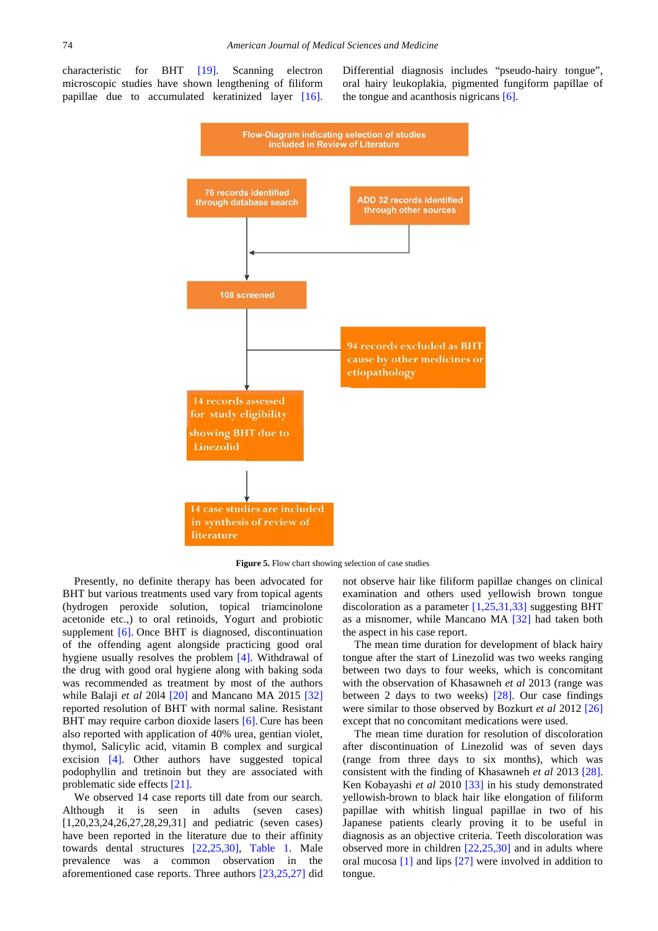<span id="page-3-0"></span>characteristic for BHT [\[19\].](#page-5-21) Scanning electron microscopic studies have shown lengthening of filiform papillae due to accumulated keratinized layer [\[16\].](#page-5-18) Differential diagnosis includes "pseudo-hairy tongue", oral hairy leukoplakia, pigmented fungiform papillae of the tongue and acanthosis nigricans [\[6\].](#page-4-3)



**Figure 5.** Flow chart showing selection of case studies

Presently, no definite therapy has been advocated for BHT but various treatments used vary from topical agents (hydrogen peroxide solution, topical triamcinolone acetonide etc.,) to oral retinoids, Yogurt and probiotic supplement [\[6\].](#page-4-3) Once BHT is diagnosed, discontinuation of the offending agent alongside practicing good oral hygiene usually resolves the problem [\[4\].](#page-4-7) Withdrawal of the drug with good oral hygiene along with baking soda was recommended as treatment by most of the authors while Balaji *et al* 20l4 [\[20\]](#page-5-12) and Mancano MA 2015 [\[32\]](#page-5-14) reported resolution of BHT with normal saline. Resistant BHT may require carbon dioxide lasers [\[6\].](#page-4-3) Cure has been also reported with application of 40% urea, gentian violet, thymol, Salicylic acid, vitamin B complex and surgical excision [\[4\].](#page-4-7) Other authors have suggested topical podophyllin and tretinoin but they are associated with problematic side effect[s \[21\].](#page-5-22)

We observed 14 case reports till date from our search. Although it is seen in adults (seven cases) [1,20,23,24,26,27,28,29,31] and pediatric (seven cases) have been reported in the literature due to their affinity towards dental structures [\[22,25,30\],](#page-5-3) [Table 1.](#page-2-0) Male prevalence was a common observation in the aforementioned case reports. Three authors [\[23,25,27\]](#page-5-4) did not observe hair like filiform papillae changes on clinical examination and others used yellowish brown tongue discoloration as a parameter [\[1,25,31,33\]](#page-4-0) suggesting BHT as a misnomer, while Mancano MA [\[32\]](#page-5-14) had taken both the aspect in his case report.

The mean time duration for development of black hairy tongue after the start of Linezolid was two weeks ranging between two days to four weeks, which is concomitant with the observation of Khasawneh *et al* 2013 (range was between 2 days to two weeks) [\[28\].](#page-5-9) Our case findings were similar to those observed by Bozkurt *et al* 2012 [\[26\]](#page-5-7) except that no concomitant medications were used.

The mean time duration for resolution of discoloration after discontinuation of Linezolid was of seven days (range from three days to six months), which was consistent with the finding of Khasawneh *et al* 2013 [\[28\].](#page-5-9) Ken Kobayashi *et al* 2010 [\[33\]](#page-5-23) in his study demonstrated yellowish-brown to black hair like elongation of filiform papillae with whitish lingual papillae in two of his Japanese patients clearly proving it to be useful in diagnosis as an objective criteria. Teeth discoloration was observed more in children [\[22,25,30\]](#page-5-3) and in adults where oral mucosa [\[1\]](#page-4-0) and lips [\[27\]](#page-5-8) were involved in addition to tongue.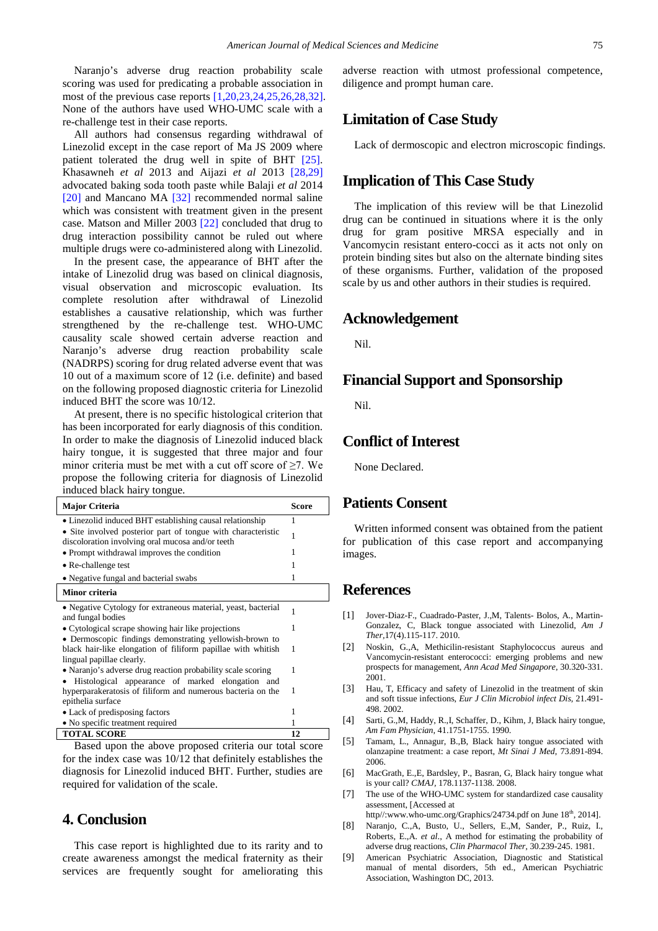Naranjo's adverse drug reaction probability scale scoring was used for predicating a probable association in most of the previous case reports [\[1,20,23,24,25,26,28,32\].](#page-4-0) None of the authors have used WHO-UMC scale with a re-challenge test in their case reports.

All authors had consensus regarding withdrawal of Linezolid except in the case report of Ma JS 2009 where patient tolerated the drug well in spite of BHT [\[25\].](#page-5-6) Khasawneh *et al* 2013 and Aijazi *et al* 2013 [\[28,29\]](#page-5-9) advocated baking soda tooth paste while Balaji *et al* 2014 [\[20\]](#page-5-12) and Mancano MA [\[32\]](#page-5-14) recommended normal saline which was consistent with treatment given in the present case. Matson and Miller 2003 [\[22\]](#page-5-3) concluded that drug to drug interaction possibility cannot be ruled out where multiple drugs were co-administered along with Linezolid.

In the present case, the appearance of BHT after the intake of Linezolid drug was based on clinical diagnosis, visual observation and microscopic evaluation. Its complete resolution after withdrawal of Linezolid establishes a causative relationship, which was further strengthened by the re-challenge test. WHO-UMC causality scale showed certain adverse reaction and Naranjo's adverse drug reaction probability scale (NADRPS) scoring for drug related adverse event that was 10 out of a maximum score of 12 (i.e. definite) and based on the following proposed diagnostic criteria for Linezolid induced BHT the score was 10/12.

At present, there is no specific histological criterion that has been incorporated for early diagnosis of this condition. In order to make the diagnosis of Linezolid induced black hairy tongue, it is suggested that three major and four minor criteria must be met with a cut off score of  $\geq 7$ . We propose the following criteria for diagnosis of Linezolid induced black hairy tongue.

| <b>Major Criteria</b>                                                                                                   | Score |
|-------------------------------------------------------------------------------------------------------------------------|-------|
| • Linezolid induced BHT establishing causal relationship                                                                | 1     |
| • Site involved posterior part of tongue with characteristic<br>discoloration involving oral mucosa and/or teeth        | 1     |
| • Prompt withdrawal improves the condition                                                                              | 1     |
| • Re-challenge test                                                                                                     | 1     |
| • Negative fungal and bacterial swabs                                                                                   | 1     |
| Minor criteria                                                                                                          |       |
| • Negative Cytology for extraneous material, yeast, bacterial<br>and fungal bodies                                      | 1     |
| • Cytological scrape showing hair like projections                                                                      | 1     |
| • Dermoscopic findings demonstrating yellowish-brown to<br>black hair-like elongation of filiform papillae with whitish | 1     |
| lingual papillae clearly.                                                                                               |       |
| • Naranjo's adverse drug reaction probability scale scoring                                                             | 1     |
| Histological appearance of marked elongation and                                                                        |       |
| hyperparakeratosis of filiform and numerous bacteria on the<br>epithelia surface                                        | 1     |
| • Lack of predisposing factors                                                                                          | 1     |
| • No specific treatment required                                                                                        | 1     |
| <b>TOTAL SCORE</b>                                                                                                      | 12    |

Based upon the above proposed criteria our total score for the index case was 10/12 that definitely establishes the diagnosis for Linezolid induced BHT. Further, studies are required for validation of the scale.

#### **4. Conclusion**

This case report is highlighted due to its rarity and to create awareness amongst the medical fraternity as their services are frequently sought for ameliorating this adverse reaction with utmost professional competence, diligence and prompt human care.

## **Limitation of Case Study**

Lack of dermoscopic and electron microscopic findings.

## **Implication of This Case Study**

The implication of this review will be that Linezolid drug can be continued in situations where it is the only drug for gram positive MRSA especially and in Vancomycin resistant entero-cocci as it acts not only on protein binding sites but also on the alternate binding sites of these organisms. Further, validation of the proposed scale by us and other authors in their studies is required.

#### **Acknowledgement**

Nil.

#### **Financial Support and Sponsorship**

Nil.

#### **Conflict of Interest**

None Declared.

#### **Patients Consent**

Written informed consent was obtained from the patient for publication of this case report and accompanying images.

#### **References**

- <span id="page-4-0"></span>[1] Jover-Diaz-F., Cuadrado-Paster, J.,M, Talents- Bolos, A., Martin-Gonzalez, C, Black tongue associated with Linezolid, *Am J Ther,*17(4).115-117. 2010.
- <span id="page-4-1"></span>[2] Noskin, G.,A, Methicilin-resistant Staphylococcus aureus and Vancomycin-resistant enterococci: emerging problems and new prospects for management, *Ann Acad Med Singapore*, 30.320-331. 2001.
- <span id="page-4-2"></span>[3] Hau, T, Efficacy and safety of Linezolid in the treatment of skin and soft tissue infections, *Eur J Clin Microbiol infect Dis,* 21.491- 498. 2002.
- <span id="page-4-7"></span>[4] Sarti, G.,M, Haddy, R.,I, Schaffer, D., Kihm, J, Black hairy tongue, *Am Fam Physician,* 41.1751-1755. 1990.
- [5] Tamam, L., Annagur, B.,B, Black hairy tongue associated with olanzapine treatment: a case report, *Mt Sinai J Med*, 73.891-894. 2006.
- <span id="page-4-3"></span>[6] MacGrath, E.,E, Bardsley, P., Basran, G, Black hairy tongue what is your call? *CMAJ,* 178.1137-1138. 2008.
- <span id="page-4-4"></span>[7] The use of the WHO-UMC system for standardized case causality assessment, [Accessed at http//:www.who-umc.org/Graphics/24734.pdf on June 18<sup>th</sup>, 2014].
- <span id="page-4-5"></span>[8] Naranjo, C.,A, Busto, U., Sellers, E.,M, Sander, P., Ruiz, I., Roberts, E.,A. *et al*., A method for estimating the probability of adverse drug reactions, *Clin Pharmacol Ther,* 30.239-245. 1981.
- <span id="page-4-6"></span>[9] American Psychiatric Association, Diagnostic and Statistical manual of mental disorders, 5th ed., American Psychiatric Association, Washington DC, 2013.